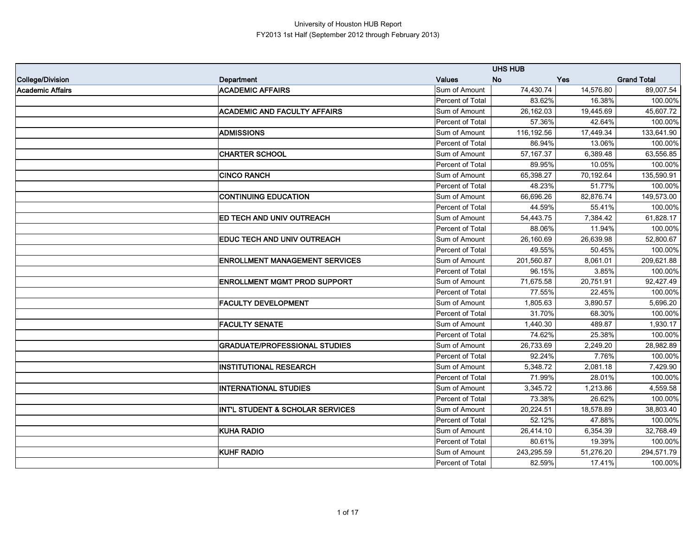|                  |                                       |                  | <b>UHS HUB</b> |            |                    |
|------------------|---------------------------------------|------------------|----------------|------------|--------------------|
| College/Division | <b>Department</b>                     | <b>Values</b>    | <b>No</b>      | <b>Yes</b> | <b>Grand Total</b> |
| Academic Affairs | <b>ACADEMIC AFFAIRS</b>               | Sum of Amount    | 74,430.74      | 14,576.80  | 89,007.54          |
|                  |                                       | Percent of Total | 83.62%         | 16.38%     | 100.00%            |
|                  | <b>ACADEMIC AND FACULTY AFFAIRS</b>   | Sum of Amount    | 26,162.03      | 19,445.69  | 45,607.72          |
|                  |                                       | Percent of Total | 57.36%         | 42.64%     | 100.00%            |
|                  | <b>ADMISSIONS</b>                     | Sum of Amount    | 116,192.56     | 17,449.34  | 133,641.90         |
|                  |                                       | Percent of Total | 86.94%         | 13.06%     | 100.00%            |
|                  | <b>CHARTER SCHOOL</b>                 | Sum of Amount    | 57, 167.37     | 6,389.48   | 63,556.85          |
|                  |                                       | Percent of Total | 89.95%         | 10.05%     | 100.00%            |
|                  | <b>CINCO RANCH</b>                    | Sum of Amount    | 65,398.27      | 70,192.64  | 135,590.91         |
|                  |                                       | Percent of Total | 48.23%         | 51.77%     | 100.00%            |
|                  | <b>CONTINUING EDUCATION</b>           | Sum of Amount    | 66,696.26      | 82,876.74  | 149,573.00         |
|                  |                                       | Percent of Total | 44.59%         | 55.41%     | 100.00%            |
|                  | <b>ED TECH AND UNIV OUTREACH</b>      | Sum of Amount    | 54,443.75      | 7,384.42   | 61,828.17          |
|                  |                                       | Percent of Total | 88.06%         | 11.94%     | 100.00%            |
|                  | EDUC TECH AND UNIV OUTREACH           | Sum of Amount    | 26,160.69      | 26,639.98  | 52,800.67          |
|                  |                                       | Percent of Total | 49.55%         | 50.45%     | 100.00%            |
|                  | <b>ENROLLMENT MANAGEMENT SERVICES</b> | Sum of Amount    | 201,560.87     | 8,061.01   | 209,621.88         |
|                  |                                       | Percent of Total | 96.15%         | 3.85%      | 100.00%            |
|                  | <b>ENROLLMENT MGMT PROD SUPPORT</b>   | Sum of Amount    | 71,675.58      | 20,751.91  | 92,427.49          |
|                  |                                       | Percent of Total | 77.55%         | 22.45%     | 100.00%            |
|                  | <b>FACULTY DEVELOPMENT</b>            | Sum of Amount    | 1,805.63       | 3,890.57   | 5,696.20           |
|                  |                                       | Percent of Total | 31.70%         | 68.30%     | 100.00%            |
|                  | <b>FACULTY SENATE</b>                 | Sum of Amount    | 1,440.30       | 489.87     | 1,930.17           |
|                  |                                       | Percent of Total | 74.62%         | 25.38%     | 100.00%            |
|                  | <b>GRADUATE/PROFESSIONAL STUDIES</b>  | Sum of Amount    | 26,733.69      | 2,249.20   | 28,982.89          |
|                  |                                       | Percent of Total | 92.24%         | 7.76%      | 100.00%            |
|                  | <b>INSTITUTIONAL RESEARCH</b>         | Sum of Amount    | 5,348.72       | 2,081.18   | 7,429.90           |
|                  |                                       | Percent of Total | 71.99%         | 28.01%     | 100.00%            |
|                  | <b>INTERNATIONAL STUDIES</b>          | Sum of Amount    | 3,345.72       | 1,213.86   | 4,559.58           |
|                  |                                       | Percent of Total | 73.38%         | 26.62%     | 100.00%            |
|                  | INT'L STUDENT & SCHOLAR SERVICES      | Sum of Amount    | 20,224.51      | 18,578.89  | 38,803.40          |
|                  |                                       | Percent of Total | 52.12%         | 47.88%     | 100.00%            |
|                  | <b>KUHA RADIO</b>                     | Sum of Amount    | 26,414.10      | 6,354.39   | 32,768.49          |
|                  |                                       | Percent of Total | 80.61%         | 19.39%     | 100.00%            |
|                  | <b>KUHF RADIO</b>                     | Sum of Amount    | 243,295.59     | 51,276.20  | 294,571.79         |
|                  |                                       | Percent of Total | 82.59%         | 17.41%     | 100.00%            |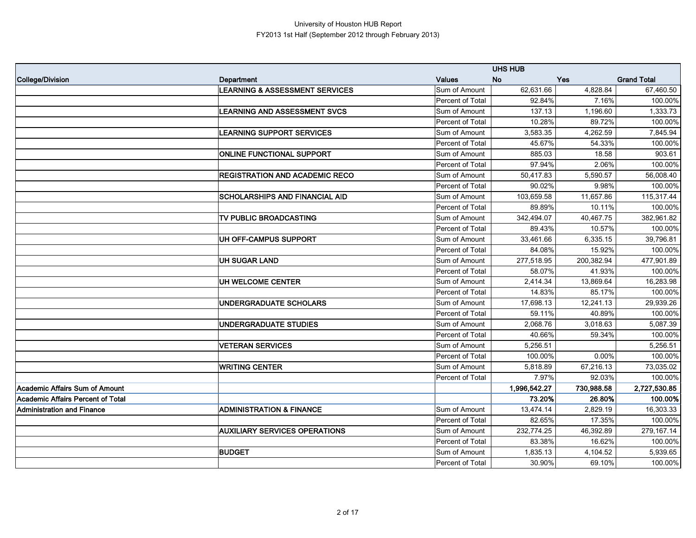|                                   |                                           |                  | <b>UHS HUB</b> |            |                    |
|-----------------------------------|-------------------------------------------|------------------|----------------|------------|--------------------|
| College/Division                  | Department                                | <b>Values</b>    | <b>No</b>      | <b>Yes</b> | <b>Grand Total</b> |
|                                   | <b>LEARNING &amp; ASSESSMENT SERVICES</b> | Sum of Amount    | 62,631.66      | 4,828.84   | 67,460.50          |
|                                   |                                           | Percent of Total | 92.84%         | 7.16%      | 100.00%            |
|                                   | <b>LEARNING AND ASSESSMENT SVCS</b>       | Sum of Amount    | 137.13         | 1,196.60   | 1,333.73           |
|                                   |                                           | Percent of Total | 10.28%         | 89.72%     | 100.00%            |
|                                   | <b>LEARNING SUPPORT SERVICES</b>          | Sum of Amount    | 3,583.35       | 4,262.59   | 7,845.94           |
|                                   |                                           | Percent of Total | 45.67%         | 54.33%     | 100.00%            |
|                                   | <b>ONLINE FUNCTIONAL SUPPORT</b>          | Sum of Amount    | 885.03         | 18.58      | 903.61             |
|                                   |                                           | Percent of Total | 97.94%         | 2.06%      | 100.00%            |
|                                   | <b>REGISTRATION AND ACADEMIC RECO</b>     | Sum of Amount    | 50,417.83      | 5,590.57   | 56,008.40          |
|                                   |                                           | Percent of Total | 90.02%         | 9.98%      | 100.00%            |
|                                   | <b>SCHOLARSHIPS AND FINANCIAL AID</b>     | Sum of Amount    | 103,659.58     | 11,657.86  | 115,317.44         |
|                                   |                                           | Percent of Total | 89.89%         | 10.11%     | 100.00%            |
|                                   | TV PUBLIC BROADCASTING                    | Sum of Amount    | 342,494.07     | 40,467.75  | 382,961.82         |
|                                   |                                           | Percent of Total | 89.43%         | 10.57%     | 100.00%            |
|                                   | UH OFF-CAMPUS SUPPORT                     | Sum of Amount    | 33,461.66      | 6,335.15   | 39,796.81          |
|                                   |                                           | Percent of Total | 84.08%         | 15.92%     | 100.00%            |
|                                   | <b>UH SUGAR LAND</b>                      | Sum of Amount    | 277,518.95     | 200,382.94 | 477,901.89         |
|                                   |                                           | Percent of Total | 58.07%         | 41.93%     | 100.00%            |
|                                   | UH WELCOME CENTER                         | Sum of Amount    | 2,414.34       | 13,869.64  | 16,283.98          |
|                                   |                                           | Percent of Total | 14.83%         | 85.17%     | 100.00%            |
|                                   | <b>UNDERGRADUATE SCHOLARS</b>             | Sum of Amount    | 17,698.13      | 12,241.13  | 29,939.26          |
|                                   |                                           | Percent of Total | 59.11%         | 40.89%     | 100.00%            |
|                                   | <b>UNDERGRADUATE STUDIES</b>              | Sum of Amount    | 2,068.76       | 3,018.63   | 5,087.39           |
|                                   |                                           | Percent of Total | 40.66%         | 59.34%     | 100.00%            |
|                                   | <b>VETERAN SERVICES</b>                   | Sum of Amount    | 5,256.51       |            | 5,256.51           |
|                                   |                                           | Percent of Total | 100.00%        | 0.00%      | 100.00%            |
|                                   | <b>WRITING CENTER</b>                     | Sum of Amount    | 5,818.89       | 67,216.13  | 73,035.02          |
|                                   |                                           | Percent of Total | 7.97%          | 92.03%     | 100.00%            |
| Academic Affairs Sum of Amount    |                                           |                  | 1,996,542.27   | 730,988.58 | 2,727,530.85       |
| Academic Affairs Percent of Total |                                           |                  | 73.20%         | 26.80%     | 100.00%            |
| Administration and Finance        | <b>ADMINISTRATION &amp; FINANCE</b>       | Sum of Amount    | 13,474.14      | 2,829.19   | 16,303.33          |
|                                   |                                           | Percent of Total | 82.65%         | 17.35%     | 100.00%            |
|                                   | <b>AUXILIARY SERVICES OPERATIONS</b>      | Sum of Amount    | 232,774.25     | 46,392.89  | 279,167.14         |
|                                   |                                           | Percent of Total | 83.38%         | 16.62%     | 100.00%            |
|                                   | <b>BUDGET</b>                             | Sum of Amount    | 1,835.13       | 4,104.52   | 5,939.65           |
|                                   |                                           | Percent of Total | 30.90%         | $69.10\%$  | 100.00%            |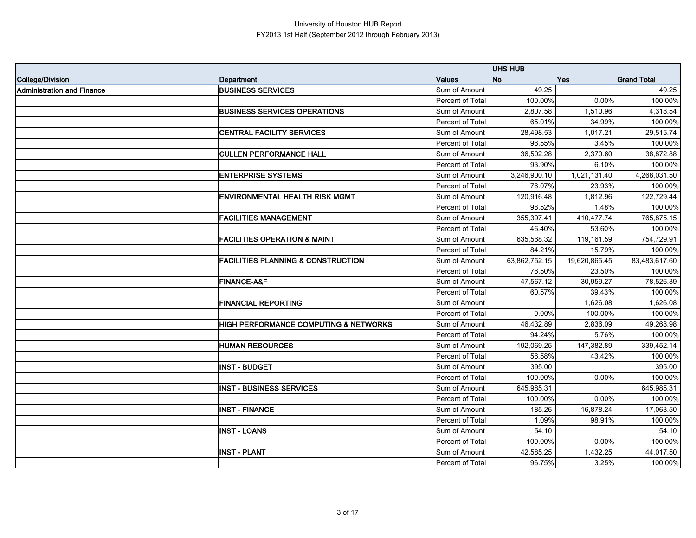|                            |                                                  |                  | <b>UHS HUB</b> |               |                    |
|----------------------------|--------------------------------------------------|------------------|----------------|---------------|--------------------|
| College/Division           | <b>Department</b>                                | <b>Values</b>    | <b>No</b>      | <b>Yes</b>    | <b>Grand Total</b> |
| Administration and Finance | <b>BUSINESS SERVICES</b>                         | Sum of Amount    | 49.25          |               | 49.25              |
|                            |                                                  | Percent of Total | 100.00%        | 0.00%         | 100.00%            |
|                            | <b>BUSINESS SERVICES OPERATIONS</b>              | Sum of Amount    | 2,807.58       | 1,510.96      | 4,318.54           |
|                            |                                                  | Percent of Total | 65.01%         | 34.99%        | 100.00%            |
|                            | <b>CENTRAL FACILITY SERVICES</b>                 | Sum of Amount    | 28,498.53      | 1,017.21      | 29,515.74          |
|                            |                                                  | Percent of Total | 96.55%         | 3.45%         | 100.00%            |
|                            | <b>CULLEN PERFORMANCE HALL</b>                   | Sum of Amount    | 36,502.28      | 2,370.60      | 38,872.88          |
|                            |                                                  | Percent of Total | 93.90%         | 6.10%         | 100.00%            |
|                            | <b>ENTERPRISE SYSTEMS</b>                        | Sum of Amount    | 3,246,900.10   | 1,021,131.40  | 4,268,031.50       |
|                            |                                                  | Percent of Total | 76.07%         | 23.93%        | 100.00%            |
|                            | <b>ENVIRONMENTAL HEALTH RISK MGMT</b>            | Sum of Amount    | 120,916.48     | 1,812.96      | 122,729.44         |
|                            |                                                  | Percent of Total | 98.52%         | 1.48%         | 100.00%            |
|                            | <b>FACILITIES MANAGEMENT</b>                     | Sum of Amount    | 355,397.41     | 410,477.74    | 765,875.15         |
|                            |                                                  | Percent of Total | 46.40%         | 53.60%        | 100.00%            |
|                            | <b>FACILITIES OPERATION &amp; MAINT</b>          | Sum of Amount    | 635,568.32     | 119,161.59    | 754,729.91         |
|                            |                                                  | Percent of Total | 84.21%         | 15.79%        | 100.00%            |
|                            | <b>FACILITIES PLANNING &amp; CONSTRUCTION</b>    | Sum of Amount    | 63,862,752.15  | 19,620,865.45 | 83,483,617.60      |
|                            |                                                  | Percent of Total | 76.50%         | 23.50%        | 100.00%            |
|                            | <b>FINANCE-A&amp;F</b>                           | Sum of Amount    | 47,567.12      | 30,959.27     | 78,526.39          |
|                            |                                                  | Percent of Total | 60.57%         | 39.43%        | 100.00%            |
|                            | <b>FINANCIAL REPORTING</b>                       | Sum of Amount    |                | 1,626.08      | 1,626.08           |
|                            |                                                  | Percent of Total | 0.00%          | 100.00%       | 100.00%            |
|                            | <b>HIGH PERFORMANCE COMPUTING &amp; NETWORKS</b> | Sum of Amount    | 46,432.89      | 2,836.09      | 49,268.98          |
|                            |                                                  | Percent of Total | 94.24%         | 5.76%         | 100.00%            |
|                            | <b>HUMAN RESOURCES</b>                           | Sum of Amount    | 192,069.25     | 147,382.89    | 339,452.14         |
|                            |                                                  | Percent of Total | 56.58%         | 43.42%        | 100.00%            |
|                            | <b>INST - BUDGET</b>                             | Sum of Amount    | 395.00         |               | 395.00             |
|                            |                                                  | Percent of Total | 100.00%        | 0.00%         | 100.00%            |
|                            | <b>INST - BUSINESS SERVICES</b>                  | Sum of Amount    | 645,985.31     |               | 645,985.31         |
|                            |                                                  | Percent of Total | 100.00%        | 0.00%         | 100.00%            |
|                            | <b>INST - FINANCE</b>                            | Sum of Amount    | 185.26         | 16,878.24     | 17,063.50          |
|                            |                                                  | Percent of Total | 1.09%          | 98.91%        | 100.00%            |
|                            | <b>INST - LOANS</b>                              | Sum of Amount    | 54.10          |               | 54.10              |
|                            |                                                  | Percent of Total | 100.00%        | 0.00%         | 100.00%            |
|                            | <b>INST - PLANT</b>                              | Sum of Amount    | 42,585.25      | 1,432.25      | 44,017.50          |
|                            |                                                  | Percent of Total | 96.75%         | 3.25%         | 100.00%            |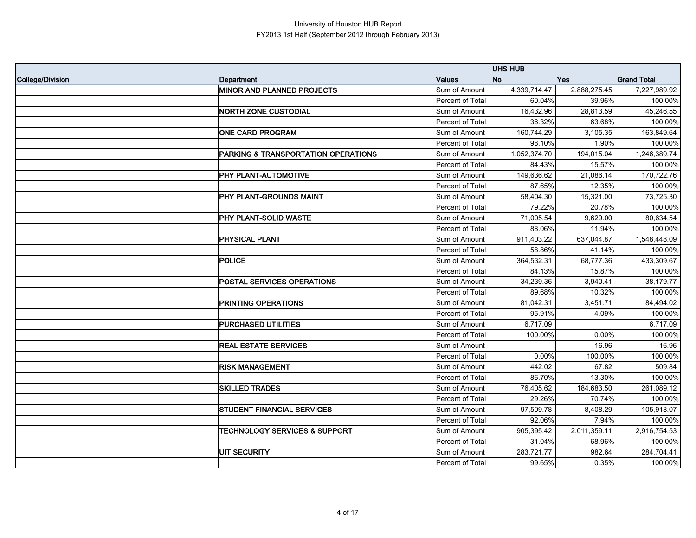|                  |                                          |                  | <b>UHS HUB</b> |              |                    |
|------------------|------------------------------------------|------------------|----------------|--------------|--------------------|
| College/Division | Department                               | <b>Values</b>    | <b>No</b>      | Yes          | <b>Grand Total</b> |
|                  | <b>MINOR AND PLANNED PROJECTS</b>        | Sum of Amount    | 4,339,714.47   | 2,888,275.45 | 7,227,989.92       |
|                  |                                          | Percent of Total | 60.04%         | 39.96%       | 100.00%            |
|                  | <b>NORTH ZONE CUSTODIAL</b>              | Sum of Amount    | 16,432.96      | 28,813.59    | 45,246.55          |
|                  |                                          | Percent of Total | 36.32%         | 63.68%       | 100.00%            |
|                  | <b>ONE CARD PROGRAM</b>                  | Sum of Amount    | 160,744.29     | 3,105.35     | 163,849.64         |
|                  |                                          | Percent of Total | 98.10%         | 1.90%        | 100.00%            |
|                  | PARKING & TRANSPORTATION OPERATIONS      | Sum of Amount    | 1,052,374.70   | 194,015.04   | 1,246,389.74       |
|                  |                                          | Percent of Total | 84.43%         | 15.57%       | 100.00%            |
|                  | PHY PLANT-AUTOMOTIVE                     | Sum of Amount    | 149,636.62     | 21,086.14    | 170,722.76         |
|                  |                                          | Percent of Total | 87.65%         | 12.35%       | 100.00%            |
|                  | PHY PLANT-GROUNDS MAINT                  | Sum of Amount    | 58,404.30      | 15,321.00    | 73,725.30          |
|                  |                                          | Percent of Total | 79.22%         | 20.78%       | 100.00%            |
|                  | PHY PLANT-SOLID WASTE                    | Sum of Amount    | 71,005.54      | 9,629.00     | 80,634.54          |
|                  |                                          | Percent of Total | 88.06%         | 11.94%       | 100.00%            |
|                  | <b>PHYSICAL PLANT</b>                    | Sum of Amount    | 911,403.22     | 637,044.87   | 1,548,448.09       |
|                  |                                          | Percent of Total | 58.86%         | 41.14%       | 100.00%            |
|                  | POLICE                                   | Sum of Amount    | 364,532.31     | 68,777.36    | 433,309.67         |
|                  |                                          | Percent of Total | 84.13%         | 15.87%       | 100.00%            |
|                  | <b>POSTAL SERVICES OPERATIONS</b>        | Sum of Amount    | 34,239.36      | 3,940.41     | 38,179.77          |
|                  |                                          | Percent of Total | 89.68%         | 10.32%       | 100.00%            |
|                  | <b>PRINTING OPERATIONS</b>               | Sum of Amount    | 81,042.31      | 3,451.71     | 84,494.02          |
|                  |                                          | Percent of Total | 95.91%         | 4.09%        | 100.00%            |
|                  | <b>PURCHASED UTILITIES</b>               | Sum of Amount    | 6,717.09       |              | 6,717.09           |
|                  |                                          | Percent of Total | 100.00%        | 0.00%        | 100.00%            |
|                  | <b>REAL ESTATE SERVICES</b>              | Sum of Amount    |                | 16.96        | 16.96              |
|                  |                                          | Percent of Total | 0.00%          | 100.00%      | 100.00%            |
|                  | <b>RISK MANAGEMENT</b>                   | Sum of Amount    | 442.02         | 67.82        | 509.84             |
|                  |                                          | Percent of Total | 86.70%         | 13.30%       | 100.00%            |
|                  | <b>SKILLED TRADES</b>                    | Sum of Amount    | 76,405.62      | 184,683.50   | 261,089.12         |
|                  |                                          | Percent of Total | 29.26%         | 70.74%       | 100.00%            |
|                  | <b>STUDENT FINANCIAL SERVICES</b>        | Sum of Amount    | 97,509.78      | 8,408.29     | 105,918.07         |
|                  |                                          | Percent of Total | 92.06%         | 7.94%        | 100.00%            |
|                  | <b>TECHNOLOGY SERVICES &amp; SUPPORT</b> | Sum of Amount    | 905,395.42     | 2,011,359.11 | 2,916,754.53       |
|                  |                                          | Percent of Total | $31.04\%$      | 68.96%       | 100.00%            |
|                  | <b>UIT SECURITY</b>                      | Sum of Amount    | 283,721.77     | 982.64       | 284,704.41         |
|                  |                                          | Percent of Total | 99.65%         | 0.35%        | 100.00%            |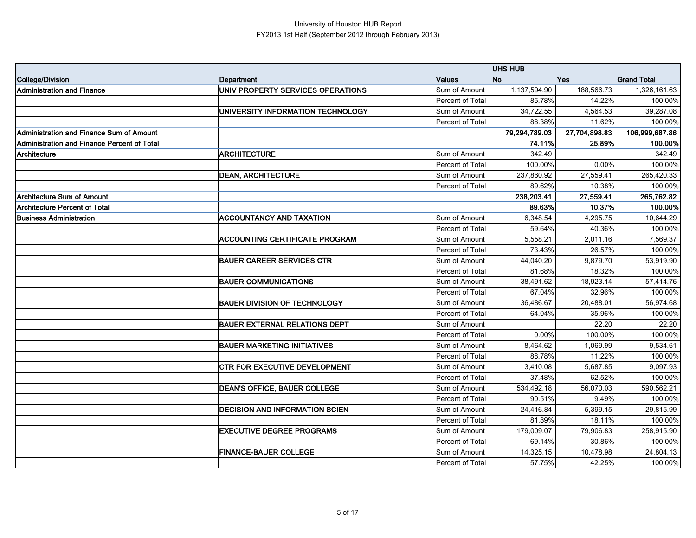|                                             |                                       |                  | <b>UHS HUB</b> |               |                    |
|---------------------------------------------|---------------------------------------|------------------|----------------|---------------|--------------------|
| College/Division                            | <b>Department</b>                     | <b>Values</b>    | <b>No</b>      | Yes           | <b>Grand Total</b> |
| Administration and Finance                  | UNIV PROPERTY SERVICES OPERATIONS     | Sum of Amount    | 1,137,594.90   | 188,566.73    | 1,326,161.63       |
|                                             |                                       | Percent of Total | 85.78%         | 14.22%        | 100.00%            |
|                                             | UNIVERSITY INFORMATION TECHNOLOGY     | Sum of Amount    | 34,722.55      | 4,564.53      | 39,287.08          |
|                                             |                                       | Percent of Total | 88.38%         | 11.62%        | 100.00%            |
| Administration and Finance Sum of Amount    |                                       |                  | 79,294,789.03  | 27,704,898.83 | 106,999,687.86     |
| Administration and Finance Percent of Total |                                       |                  | 74.11%         | 25.89%        | 100.00%            |
| Architecture                                | <b>ARCHITECTURE</b>                   | Sum of Amount    | 342.49         |               | 342.49             |
|                                             |                                       | Percent of Total | 100.00%        | 0.00%         | 100.00%            |
|                                             | <b>DEAN, ARCHITECTURE</b>             | Sum of Amount    | 237,860.92     | 27,559.41     | 265,420.33         |
|                                             |                                       | Percent of Total | 89.62%         | 10.38%        | 100.00%            |
| Architecture Sum of Amount                  |                                       |                  | 238,203.41     | 27,559.41     | 265,762.82         |
| <b>Architecture Percent of Total</b>        |                                       |                  | 89.63%         | 10.37%        | 100.00%            |
| <b>Business Administration</b>              | <b>ACCOUNTANCY AND TAXATION</b>       | Sum of Amount    | 6,348.54       | 4,295.75      | 10,644.29          |
|                                             |                                       | Percent of Total | 59.64%         | 40.36%        | 100.00%            |
|                                             | <b>ACCOUNTING CERTIFICATE PROGRAM</b> | Sum of Amount    | 5,558.21       | 2,011.16      | 7,569.37           |
|                                             |                                       | Percent of Total | 73.43%         | 26.57%        | 100.00%            |
|                                             | <b>BAUER CAREER SERVICES CTR</b>      | Sum of Amount    | 44,040.20      | 9,879.70      | 53,919.90          |
|                                             |                                       | Percent of Total | 81.68%         | 18.32%        | 100.00%            |
|                                             | <b>BAUER COMMUNICATIONS</b>           | Sum of Amount    | 38,491.62      | 18,923.14     | 57,414.76          |
|                                             |                                       | Percent of Total | 67.04%         | 32.96%        | 100.00%            |
|                                             | <b>BAUER DIVISION OF TECHNOLOGY</b>   | Sum of Amount    | 36,486.67      | 20,488.01     | 56,974.68          |
|                                             |                                       | Percent of Total | 64.04%         | 35.96%        | 100.00%            |
|                                             | <b>BAUER EXTERNAL RELATIONS DEPT</b>  | Sum of Amount    |                | 22.20         | 22.20              |
|                                             |                                       | Percent of Total | 0.00%          | 100.00%       | 100.00%            |
|                                             | <b>BAUER MARKETING INITIATIVES</b>    | Sum of Amount    | 8,464.62       | 1,069.99      | 9,534.61           |
|                                             |                                       | Percent of Total | 88.78%         | 11.22%        | 100.00%            |
|                                             | <b>CTR FOR EXECUTIVE DEVELOPMENT</b>  | Sum of Amount    | 3,410.08       | 5,687.85      | 9,097.93           |
|                                             |                                       | Percent of Total | 37.48%         | 62.52%        | 100.00%            |
|                                             | <b>DEAN'S OFFICE, BAUER COLLEGE</b>   | Sum of Amount    | 534,492.18     | 56,070.03     | 590,562.21         |
|                                             |                                       | Percent of Total | 90.51%         | 9.49%         | 100.00%            |
|                                             | <b>DECISION AND INFORMATION SCIEN</b> | Sum of Amount    | 24,416.84      | 5,399.15      | 29,815.99          |
|                                             |                                       | Percent of Total | 81.89%         | 18.11%        | 100.00%            |
|                                             | <b>EXECUTIVE DEGREE PROGRAMS</b>      | Sum of Amount    | 179,009.07     | 79,906.83     | 258,915.90         |
|                                             |                                       | Percent of Total | 69.14%         | 30.86%        | 100.00%            |
|                                             | <b>FINANCE-BAUER COLLEGE</b>          | Sum of Amount    | 14,325.15      | 10,478.98     | 24,804.13          |
|                                             |                                       | Percent of Total | 57.75%         | 42.25%        | 100.00%            |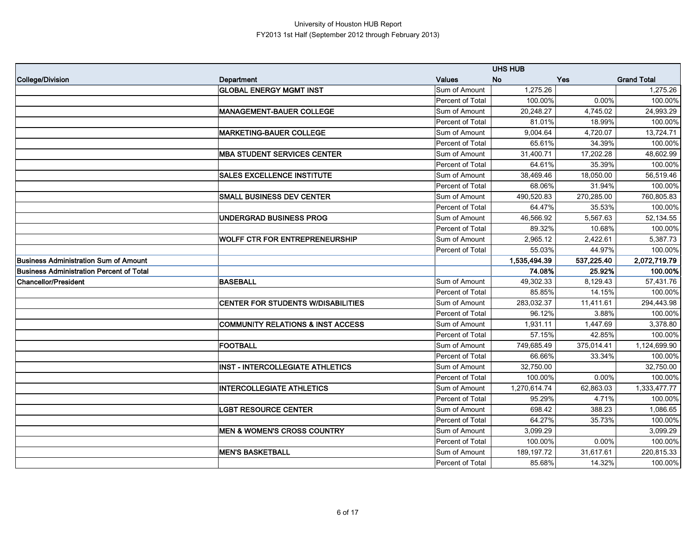|                                                 |                                              |                         | <b>UHS HUB</b> |            |                    |
|-------------------------------------------------|----------------------------------------------|-------------------------|----------------|------------|--------------------|
| College/Division                                | Department                                   | <b>Values</b>           | <b>No</b>      | Yes        | <b>Grand Total</b> |
|                                                 | <b>GLOBAL ENERGY MGMT INST</b>               | Sum of Amount           | 1,275.26       |            | 1,275.26           |
|                                                 |                                              | <b>Percent of Total</b> | 100.00%        | 0.00%      | 100.00%            |
|                                                 | <b>MANAGEMENT-BAUER COLLEGE</b>              | Sum of Amount           | 20,248.27      | 4,745.02   | 24,993.29          |
|                                                 |                                              | Percent of Total        | 81.01%         | 18.99%     | 100.00%            |
|                                                 | <b>MARKETING-BAUER COLLEGE</b>               | Sum of Amount           | 9,004.64       | 4,720.07   | 13,724.71          |
|                                                 |                                              | <b>Percent of Total</b> | 65.61%         | 34.39%     | 100.00%            |
|                                                 | <b>MBA STUDENT SERVICES CENTER</b>           | Sum of Amount           | 31,400.71      | 17,202.28  | 48,602.99          |
|                                                 |                                              | <b>Percent of Total</b> | 64.61%         | 35.39%     | 100.00%            |
|                                                 | <b>SALES EXCELLENCE INSTITUTE</b>            | Sum of Amount           | 38,469.46      | 18,050.00  | 56,519.46          |
|                                                 |                                              | Percent of Total        | 68.06%         | 31.94%     | 100.00%            |
|                                                 | <b>SMALL BUSINESS DEV CENTER</b>             | Sum of Amount           | 490,520.83     | 270,285.00 | 760,805.83         |
|                                                 |                                              | <b>Percent of Total</b> | 64.47%         | 35.53%     | 100.00%            |
|                                                 | <b>UNDERGRAD BUSINESS PROG</b>               | Sum of Amount           | 46,566.92      | 5,567.63   | 52,134.55          |
|                                                 |                                              | Percent of Total        | 89.32%         | 10.68%     | 100.00%            |
|                                                 | <b>WOLFF CTR FOR ENTREPRENEURSHIP</b>        | Sum of Amount           | 2,965.12       | 2,422.61   | 5,387.73           |
|                                                 |                                              | Percent of Total        | 55.03%         | 44.97%     | 100.00%            |
| <b>Business Administration Sum of Amount</b>    |                                              |                         | 1,535,494.39   | 537,225.40 | 2,072,719.79       |
| <b>Business Administration Percent of Total</b> |                                              |                         | 74.08%         | 25.92%     | 100.00%            |
| <b>Chancellor/President</b>                     | <b>BASEBALL</b>                              | Sum of Amount           | 49,302.33      | 8,129.43   | 57,431.76          |
|                                                 |                                              | <b>Percent of Total</b> | 85.85%         | 14.15%     | 100.00%            |
|                                                 | <b>CENTER FOR STUDENTS W/DISABILITIES</b>    | Sum of Amount           | 283,032.37     | 11,411.61  | 294,443.98         |
|                                                 |                                              | Percent of Total        | 96.12%         | 3.88%      | 100.00%            |
|                                                 | <b>COMMUNITY RELATIONS &amp; INST ACCESS</b> | Sum of Amount           | 1,931.11       | 1,447.69   | 3,378.80           |
|                                                 |                                              | <b>Percent of Total</b> | 57.15%         | 42.85%     | 100.00%            |
|                                                 | <b>FOOTBALL</b>                              | Sum of Amount           | 749,685.49     | 375,014.41 | 1,124,699.90       |
|                                                 |                                              | Percent of Total        | 66.66%         | 33.34%     | 100.00%            |
|                                                 | <b>INST - INTERCOLLEGIATE ATHLETICS</b>      | Sum of Amount           | 32,750.00      |            | 32,750.00          |
|                                                 |                                              | Percent of Total        | 100.00%        | $0.00\%$   | 100.00%            |
|                                                 | <b>INTERCOLLEGIATE ATHLETICS</b>             | Sum of Amount           | 1,270,614.74   | 62,863.03  | 1,333,477.77       |
|                                                 |                                              | Percent of Total        | 95.29%         | 4.71%      | 100.00%            |
|                                                 | <b>LGBT RESOURCE CENTER</b>                  | Sum of Amount           | 698.42         | 388.23     | 1,086.65           |
|                                                 |                                              | Percent of Total        | 64.27%         | 35.73%     | 100.00%            |
|                                                 | <b>MEN &amp; WOMEN'S CROSS COUNTRY</b>       | Sum of Amount           | 3,099.29       |            | 3,099.29           |
|                                                 |                                              | Percent of Total        | 100.00%        | 0.00%      | 100.00%            |
|                                                 | <b>MEN'S BASKETBALL</b>                      | Sum of Amount           | 189,197.72     | 31,617.61  | 220,815.33         |
|                                                 |                                              | Percent of Total        | 85.68%         | 14.32%     | 100.00%            |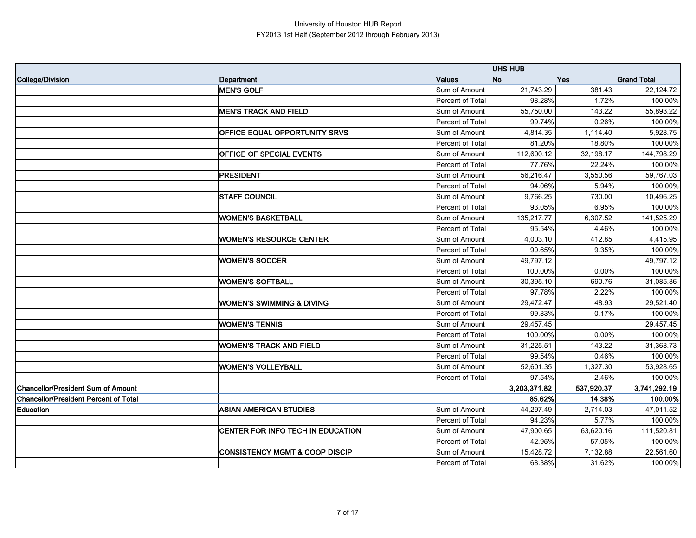|                                              |                                           |                         | <b>UHS HUB</b> |            |                    |
|----------------------------------------------|-------------------------------------------|-------------------------|----------------|------------|--------------------|
| College/Division                             | <b>Department</b>                         | <b>Values</b>           | <b>No</b>      | Yes        | <b>Grand Total</b> |
|                                              | <b>MEN'S GOLF</b>                         | Sum of Amount           | 21,743.29      | 381.43     | 22,124.72          |
|                                              |                                           | Percent of Total        | 98.28%         | 1.72%      | 100.00%            |
|                                              | <b>MEN'S TRACK AND FIELD</b>              | Sum of Amount           | 55,750.00      | 143.22     | 55,893.22          |
|                                              |                                           | Percent of Total        | 99.74%         | 0.26%      | 100.00%            |
|                                              | OFFICE EQUAL OPPORTUNITY SRVS             | Sum of Amount           | 4,814.35       | 1,114.40   | 5,928.75           |
|                                              |                                           | Percent of Total        | 81.20%         | 18.80%     | 100.00%            |
|                                              | <b>OFFICE OF SPECIAL EVENTS</b>           | Sum of Amount           | 112,600.12     | 32,198.17  | 144,798.29         |
|                                              |                                           | Percent of Total        | 77.76%         | 22.24%     | 100.00%            |
|                                              | <b>PRESIDENT</b>                          | Sum of Amount           | 56,216.47      | 3,550.56   | 59,767.03          |
|                                              |                                           | Percent of Total        | 94.06%         | 5.94%      | 100.00%            |
|                                              | <b>STAFF COUNCIL</b>                      | Sum of Amount           | 9,766.25       | 730.00     | 10,496.25          |
|                                              |                                           | Percent of Total        | 93.05%         | 6.95%      | 100.00%            |
|                                              | <b>WOMEN'S BASKETBALL</b>                 | Sum of Amount           | 135,217.77     | 6,307.52   | 141,525.29         |
|                                              |                                           | Percent of Total        | 95.54%         | 4.46%      | 100.00%            |
|                                              | <b>WOMEN'S RESOURCE CENTER</b>            | Sum of Amount           | 4,003.10       | 412.85     | 4,415.95           |
|                                              |                                           | Percent of Total        | 90.65%         | 9.35%      | 100.00%            |
|                                              | <b>WOMEN'S SOCCER</b>                     | Sum of Amount           | 49,797.12      |            | 49,797.12          |
|                                              |                                           | Percent of Total        | 100.00%        | 0.00%      | 100.00%            |
|                                              | <b>WOMEN'S SOFTBALL</b>                   | Sum of Amount           | 30,395.10      | 690.76     | 31,085.86          |
|                                              |                                           | Percent of Total        | 97.78%         | 2.22%      | 100.00%            |
|                                              | <b>WOMEN'S SWIMMING &amp; DIVING</b>      | Sum of Amount           | 29,472.47      | 48.93      | 29,521.40          |
|                                              |                                           | Percent of Total        | 99.83%         | 0.17%      | 100.00%            |
|                                              | <b>WOMEN'S TENNIS</b>                     | Sum of Amount           | 29,457.45      |            | 29,457.45          |
|                                              |                                           | Percent of Total        | 100.00%        | 0.00%      | 100.00%            |
|                                              | <b>WOMEN'S TRACK AND FIELD</b>            | Sum of Amount           | 31,225.51      | 143.22     | 31,368.73          |
|                                              |                                           | <b>Percent of Total</b> | 99.54%         | 0.46%      | 100.00%            |
|                                              | <b>WOMEN'S VOLLEYBALL</b>                 | Sum of Amount           | 52,601.35      | 1,327.30   | 53,928.65          |
|                                              |                                           | Percent of Total        | 97.54%         | 2.46%      | 100.00%            |
| <b>Chancellor/President Sum of Amount</b>    |                                           |                         | 3,203,371.82   | 537,920.37 | 3,741,292.19       |
| <b>Chancellor/President Percent of Total</b> |                                           |                         | 85.62%         | 14.38%     | 100.00%            |
| <b>Education</b>                             | <b>ASIAN AMERICAN STUDIES</b>             | Sum of Amount           | 44,297.49      | 2,714.03   | 47,011.52          |
|                                              |                                           | Percent of Total        | 94.23%         | 5.77%      | 100.00%            |
|                                              | <b>CENTER FOR INFO TECH IN EDUCATION</b>  | Sum of Amount           | 47,900.65      | 63,620.16  | 111,520.81         |
|                                              |                                           | Percent of Total        | 42.95%         | 57.05%     | 100.00%            |
|                                              | <b>CONSISTENCY MGMT &amp; COOP DISCIP</b> | Sum of Amount           | 15,428.72      | 7,132.88   | 22,561.60          |
|                                              |                                           | Percent of Total        | 68.38%         | 31.62%     | 100.00%            |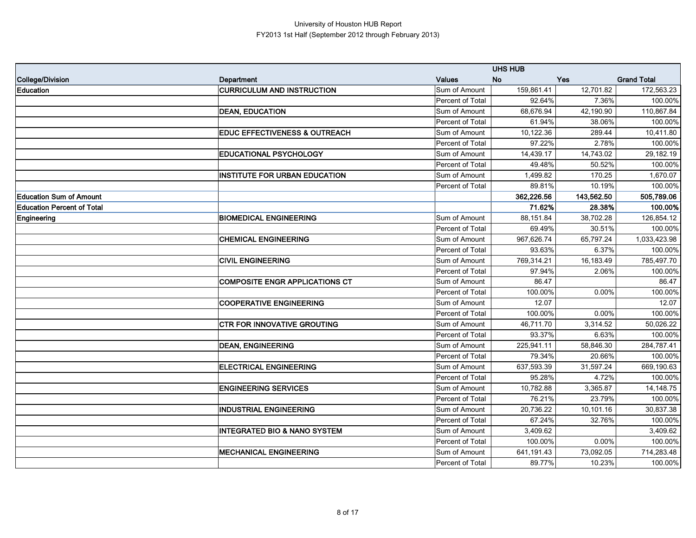|                                   |                                          |                  | <b>UHS HUB</b> |            |                    |
|-----------------------------------|------------------------------------------|------------------|----------------|------------|--------------------|
| College/Division                  | Department                               | <b>Values</b>    | <b>No</b>      | <b>Yes</b> | <b>Grand Total</b> |
| Education                         | <b>CURRICULUM AND INSTRUCTION</b>        | Sum of Amount    | 159,861.41     | 12,701.82  | 172,563.23         |
|                                   |                                          | Percent of Total | 92.64%         | 7.36%      | 100.00%            |
|                                   | <b>DEAN, EDUCATION</b>                   | Sum of Amount    | 68,676.94      | 42,190.90  | 110,867.84         |
|                                   |                                          | Percent of Total | 61.94%         | 38.06%     | 100.00%            |
|                                   | <b>EDUC EFFECTIVENESS &amp; OUTREACH</b> | Sum of Amount    | 10,122.36      | 289.44     | 10,411.80          |
|                                   |                                          | Percent of Total | 97.22%         | 2.78%      | 100.00%            |
|                                   | <b>EDUCATIONAL PSYCHOLOGY</b>            | Sum of Amount    | 14,439.17      | 14,743.02  | 29,182.19          |
|                                   |                                          | Percent of Total | 49.48%         | 50.52%     | 100.00%            |
|                                   | <b>INSTITUTE FOR URBAN EDUCATION</b>     | Sum of Amount    | 1,499.82       | 170.25     | 1,670.07           |
|                                   |                                          | Percent of Total | 89.81%         | 10.19%     | 100.00%            |
| <b>Education Sum of Amount</b>    |                                          |                  | 362,226.56     | 143,562.50 | 505,789.06         |
| <b>Education Percent of Total</b> |                                          |                  | 71.62%         | 28.38%     | 100.00%            |
| Engineering                       | <b>BIOMEDICAL ENGINEERING</b>            | Sum of Amount    | 88,151.84      | 38,702.28  | 126,854.12         |
|                                   |                                          | Percent of Total | 69.49%         | 30.51%     | 100.00%            |
|                                   | <b>CHEMICAL ENGINEERING</b>              | Sum of Amount    | 967,626.74     | 65,797.24  | 1,033,423.98       |
|                                   |                                          | Percent of Total | 93.63%         | 6.37%      | 100.00%            |
|                                   | <b>CIVIL ENGINEERING</b>                 | Sum of Amount    | 769,314.21     | 16,183.49  | 785,497.70         |
|                                   |                                          | Percent of Total | 97.94%         | 2.06%      | 100.00%            |
|                                   | <b>COMPOSITE ENGR APPLICATIONS CT</b>    | Sum of Amount    | 86.47          |            | 86.47              |
|                                   |                                          | Percent of Total | 100.00%        | 0.00%      | 100.00%            |
|                                   | <b>COOPERATIVE ENGINEERING</b>           | Sum of Amount    | 12.07          |            | 12.07              |
|                                   |                                          | Percent of Total | 100.00%        | 0.00%      | 100.00%            |
|                                   | <b>CTR FOR INNOVATIVE GROUTING</b>       | Sum of Amount    | 46,711.70      | 3,314.52   | 50,026.22          |
|                                   |                                          | Percent of Total | 93.37%         | 6.63%      | 100.00%            |
|                                   | <b>DEAN, ENGINEERING</b>                 | Sum of Amount    | 225,941.11     | 58,846.30  | 284,787.41         |
|                                   |                                          | Percent of Total | 79.34%         | 20.66%     | 100.00%            |
|                                   | <b>ELECTRICAL ENGINEERING</b>            | Sum of Amount    | 637,593.39     | 31,597.24  | 669,190.63         |
|                                   |                                          | Percent of Total | 95.28%         | 4.72%      | 100.00%            |
|                                   | <b>ENGINEERING SERVICES</b>              | Sum of Amount    | 10,782.88      | 3,365.87   | 14,148.75          |
|                                   |                                          | Percent of Total | 76.21%         | 23.79%     | 100.00%            |
|                                   | <b>INDUSTRIAL ENGINEERING</b>            | Sum of Amount    | 20,736.22      | 10,101.16  | 30,837.38          |
|                                   |                                          | Percent of Total | 67.24%         | 32.76%     | 100.00%            |
|                                   | <b>INTEGRATED BIO &amp; NANO SYSTEM</b>  | Sum of Amount    | 3,409.62       |            | 3,409.62           |
|                                   |                                          | Percent of Total | 100.00%        | 0.00%      | 100.00%            |
|                                   | <b>MECHANICAL ENGINEERING</b>            | Sum of Amount    | 641,191.43     | 73,092.05  | 714,283.48         |
|                                   |                                          | Percent of Total | 89.77%         | 10.23%     | 100.00%            |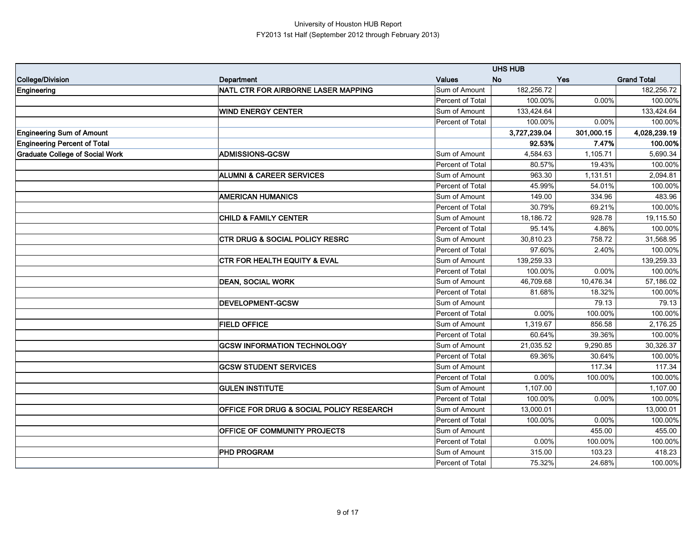|                                        |                                                     |                  | <b>UHS HUB</b> |            |                    |
|----------------------------------------|-----------------------------------------------------|------------------|----------------|------------|--------------------|
| College/Division                       | <b>Department</b>                                   | <b>Values</b>    | <b>No</b>      | Yes        | <b>Grand Total</b> |
| Engineering                            | NATL CTR FOR AIRBORNE LASER MAPPING                 | Sum of Amount    | 182,256.72     |            | 182,256.72         |
|                                        |                                                     | Percent of Total | 100.00%        | 0.00%      | 100.00%            |
|                                        | <b>WIND ENERGY CENTER</b>                           | Sum of Amount    | 133,424.64     |            | 133,424.64         |
|                                        |                                                     | Percent of Total | 100.00%        | 0.00%      | 100.00%            |
| <b>Engineering Sum of Amount</b>       |                                                     |                  | 3,727,239.04   | 301,000.15 | 4,028,239.19       |
| <b>Engineering Percent of Total</b>    |                                                     |                  | 92.53%         | 7.47%      | 100.00%            |
| <b>Graduate College of Social Work</b> | <b>ADMISSIONS-GCSW</b>                              | Sum of Amount    | 4,584.63       | 1,105.71   | 5,690.34           |
|                                        |                                                     | Percent of Total | 80.57%         | 19.43%     | 100.00%            |
|                                        | <b>ALUMNI &amp; CAREER SERVICES</b>                 | Sum of Amount    | 963.30         | 1,131.51   | 2,094.81           |
|                                        |                                                     | Percent of Total | 45.99%         | 54.01%     | 100.00%            |
|                                        | <b>AMERICAN HUMANICS</b>                            | Sum of Amount    | 149.00         | 334.96     | 483.96             |
|                                        |                                                     | Percent of Total | 30.79%         | 69.21%     | 100.00%            |
|                                        | <b>CHILD &amp; FAMILY CENTER</b>                    | Sum of Amount    | 18,186.72      | 928.78     | 19,115.50          |
|                                        |                                                     | Percent of Total | 95.14%         | 4.86%      | 100.00%            |
|                                        | <b>CTR DRUG &amp; SOCIAL POLICY RESRC</b>           | Sum of Amount    | 30,810.23      | 758.72     | 31,568.95          |
|                                        |                                                     | Percent of Total | 97.60%         | 2.40%      | 100.00%            |
|                                        | <b>CTR FOR HEALTH EQUITY &amp; EVAL</b>             | Sum of Amount    | 139,259.33     |            | 139,259.33         |
|                                        |                                                     | Percent of Total | 100.00%        | 0.00%      | 100.00%            |
|                                        | <b>DEAN, SOCIAL WORK</b>                            | Sum of Amount    | 46,709.68      | 10,476.34  | 57,186.02          |
|                                        |                                                     | Percent of Total | 81.68%         | 18.32%     | 100.00%            |
|                                        | <b>DEVELOPMENT-GCSW</b>                             | Sum of Amount    |                | 79.13      | 79.13              |
|                                        |                                                     | Percent of Total | 0.00%          | 100.00%    | 100.00%            |
|                                        | <b>FIELD OFFICE</b>                                 | Sum of Amount    | 1,319.67       | 856.58     | 2,176.25           |
|                                        |                                                     | Percent of Total | 60.64%         | 39.36%     | 100.00%            |
|                                        | <b>GCSW INFORMATION TECHNOLOGY</b>                  | Sum of Amount    | 21,035.52      | 9,290.85   | 30,326.37          |
|                                        |                                                     | Percent of Total | 69.36%         | 30.64%     | 100.00%            |
|                                        | <b>GCSW STUDENT SERVICES</b>                        | Sum of Amount    |                | 117.34     | 117.34             |
|                                        |                                                     | Percent of Total | 0.00%          | 100.00%    | 100.00%            |
|                                        | <b>GULEN INSTITUTE</b>                              | Sum of Amount    | 1,107.00       |            | 1,107.00           |
|                                        |                                                     | Percent of Total | 100.00%        | $0.00\%$   | 100.00%            |
|                                        | <b>OFFICE FOR DRUG &amp; SOCIAL POLICY RESEARCH</b> | Sum of Amount    | 13,000.01      |            | 13,000.01          |
|                                        |                                                     | Percent of Total | 100.00%        | 0.00%      | 100.00%            |
|                                        | <b>OFFICE OF COMMUNITY PROJECTS</b>                 | Sum of Amount    |                | 455.00     | 455.00             |
|                                        |                                                     | Percent of Total | $0.00\%$       | 100.00%    | 100.00%            |
|                                        | <b>PHD PROGRAM</b>                                  | Sum of Amount    | 315.00         | 103.23     | 418.23             |
|                                        |                                                     | Percent of Total | 75.32%         | 24.68%     | 100.00%            |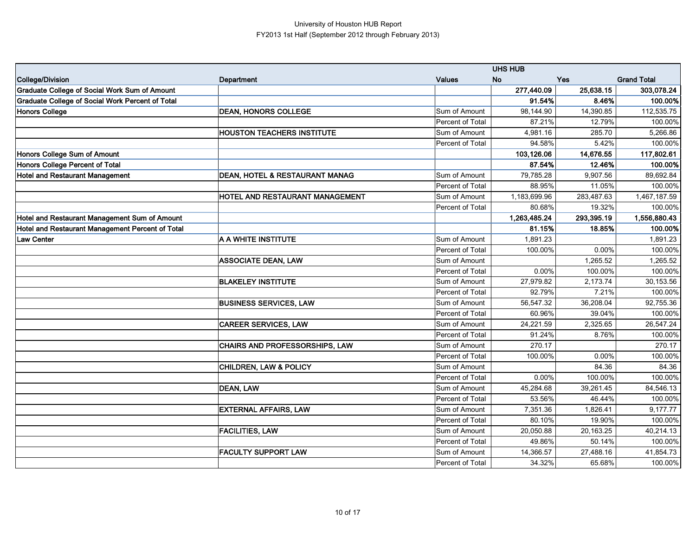|                                                         |                                           |                  | <b>UHS HUB</b> |            |                    |
|---------------------------------------------------------|-------------------------------------------|------------------|----------------|------------|--------------------|
| College/Division                                        | <b>Department</b>                         | <b>Values</b>    | <b>No</b>      | <b>Yes</b> | <b>Grand Total</b> |
| Graduate College of Social Work Sum of Amount           |                                           |                  | 277,440.09     | 25,638.15  | 303,078.24         |
| <b>Graduate College of Social Work Percent of Total</b> |                                           |                  | 91.54%         | 8.46%      | 100.00%            |
| <b>Honors College</b>                                   | <b>DEAN, HONORS COLLEGE</b>               | Sum of Amount    | 98,144.90      | 14,390.85  | 112,535.75         |
|                                                         |                                           | Percent of Total | 87.21%         | 12.79%     | 100.00%            |
|                                                         | <b>HOUSTON TEACHERS INSTITUTE</b>         | Sum of Amount    | 4,981.16       | 285.70     | 5,266.86           |
|                                                         |                                           | Percent of Total | 94.58%         | 5.42%      | 100.00%            |
| Honors College Sum of Amount                            |                                           |                  | 103,126.06     | 14,676.55  | 117,802.61         |
| Honors College Percent of Total                         |                                           |                  | 87.54%         | 12.46%     | 100.00%            |
| <b>Hotel and Restaurant Management</b>                  | <b>DEAN, HOTEL &amp; RESTAURANT MANAG</b> | Sum of Amount    | 79,785.28      | 9,907.56   | 89,692.84          |
|                                                         |                                           | Percent of Total | 88.95%         | 11.05%     | 100.00%            |
|                                                         | <b>HOTEL AND RESTAURANT MANAGEMENT</b>    | Sum of Amount    | 1,183,699.96   | 283,487.63 | 1,467,187.59       |
|                                                         |                                           | Percent of Total | 80.68%         | 19.32%     | 100.00%            |
| Hotel and Restaurant Management Sum of Amount           |                                           |                  | 1,263,485.24   | 293,395.19 | 1,556,880.43       |
| Hotel and Restaurant Management Percent of Total        |                                           |                  | 81.15%         | 18.85%     | 100.00%            |
| Law Center                                              | A A WHITE INSTITUTE                       | Sum of Amount    | 1,891.23       |            | 1,891.23           |
|                                                         |                                           | Percent of Total | 100.00%        | 0.00%      | 100.00%            |
|                                                         | <b>ASSOCIATE DEAN, LAW</b>                | Sum of Amount    |                | 1,265.52   | 1,265.52           |
|                                                         |                                           | Percent of Total | 0.00%          | 100.00%    | 100.00%            |
|                                                         | <b>BLAKELEY INSTITUTE</b>                 | Sum of Amount    | 27,979.82      | 2,173.74   | 30,153.56          |
|                                                         |                                           | Percent of Total | 92.79%         | 7.21%      | 100.00%            |
|                                                         | <b>BUSINESS SERVICES, LAW</b>             | Sum of Amount    | 56,547.32      | 36,208.04  | 92,755.36          |
|                                                         |                                           | Percent of Total | 60.96%         | 39.04%     | 100.00%            |
|                                                         | <b>CAREER SERVICES, LAW</b>               | Sum of Amount    | 24,221.59      | 2,325.65   | 26,547.24          |
|                                                         |                                           | Percent of Total | 91.24%         | 8.76%      | 100.00%            |
|                                                         | <b>CHAIRS AND PROFESSORSHIPS, LAW</b>     | Sum of Amount    | 270.17         |            | 270.17             |
|                                                         |                                           | Percent of Total | 100.00%        | 0.00%      | 100.00%            |
|                                                         | <b>CHILDREN, LAW &amp; POLICY</b>         | Sum of Amount    |                | 84.36      | 84.36              |
|                                                         |                                           | Percent of Total | $0.00\%$       | 100.00%    | 100.00%            |
|                                                         | <b>DEAN, LAW</b>                          | Sum of Amount    | 45,284.68      | 39,261.45  | 84,546.13          |
|                                                         |                                           | Percent of Total | 53.56%         | 46.44%     | 100.00%            |
|                                                         | <b>EXTERNAL AFFAIRS, LAW</b>              | Sum of Amount    | 7,351.36       | 1,826.41   | 9,177.77           |
|                                                         |                                           | Percent of Total | 80.10%         | 19.90%     | 100.00%            |
|                                                         | <b>FACILITIES, LAW</b>                    | Sum of Amount    | 20,050.88      | 20,163.25  | 40,214.13          |
|                                                         |                                           | Percent of Total | 49.86%         | 50.14%     | 100.00%            |
|                                                         | <b>FACULTY SUPPORT LAW</b>                | Sum of Amount    | 14,366.57      | 27,488.16  | 41,854.73          |
|                                                         |                                           | Percent of Total | 34.32%         | 65.68%     | 100.00%            |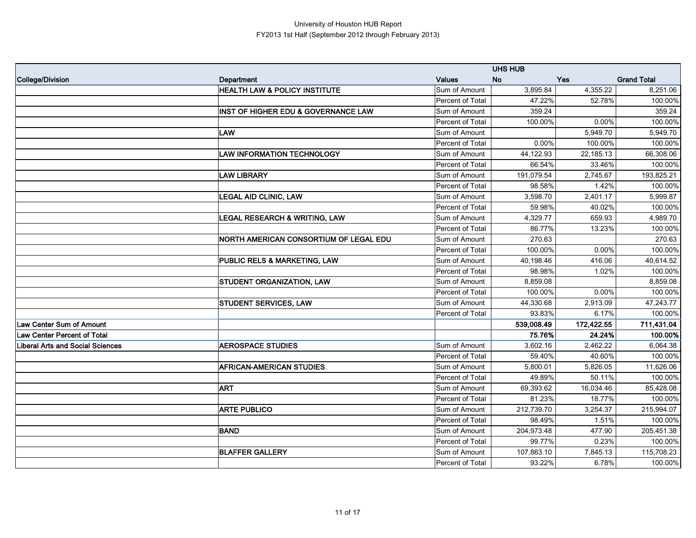|                                         |                                          |                  | <b>UHS HUB</b> |            |                    |
|-----------------------------------------|------------------------------------------|------------------|----------------|------------|--------------------|
| College/Division                        | <b>Department</b>                        | <b>Values</b>    | <b>No</b>      | Yes        | <b>Grand Total</b> |
|                                         | <b>HEALTH LAW &amp; POLICY INSTITUTE</b> | Sum of Amount    | 3,895.84       | 4,355.22   | 8,251.06           |
|                                         |                                          | Percent of Total | 47.22%         | 52.78%     | 100.00%            |
|                                         | INST OF HIGHER EDU & GOVERNANCE LAW      | Sum of Amount    | 359.24         |            | 359.24             |
|                                         |                                          | Percent of Total | 100.00%        | 0.00%      | 100.00%            |
|                                         | <b>LAW</b>                               | Sum of Amount    |                | 5,949.70   | 5,949.70           |
|                                         |                                          | Percent of Total | 0.00%          | 100.00%    | 100.00%            |
|                                         | <b>LAW INFORMATION TECHNOLOGY</b>        | Sum of Amount    | 44,122.93      | 22,185.13  | 66,308.06          |
|                                         |                                          | Percent of Total | 66.54%         | 33.46%     | 100.00%            |
|                                         | <b>LAW LIBRARY</b>                       | Sum of Amount    | 191,079.54     | 2,745.67   | 193,825.21         |
|                                         |                                          | Percent of Total | 98.58%         | 1.42%      | 100.00%            |
|                                         | <b>LEGAL AID CLINIC, LAW</b>             | Sum of Amount    | 3,598.70       | 2,401.17   | 5,999.87           |
|                                         |                                          | Percent of Total | 59.98%         | 40.02%     | 100.00%            |
|                                         | <b>LEGAL RESEARCH &amp; WRITING, LAW</b> | Sum of Amount    | 4,329.77       | 659.93     | 4,989.70           |
|                                         |                                          | Percent of Total | 86.77%         | 13.23%     | 100.00%            |
|                                         | NORTH AMERICAN CONSORTIUM OF LEGAL EDU   | Sum of Amount    | 270.63         |            | 270.63             |
|                                         |                                          | Percent of Total | 100.00%        | 0.00%      | 100.00%            |
|                                         | PUBLIC RELS & MARKETING, LAW             | Sum of Amount    | 40,198.46      | 416.06     | 40,614.52          |
|                                         |                                          | Percent of Total | 98.98%         | 1.02%      | 100.00%            |
|                                         | <b>STUDENT ORGANIZATION, LAW</b>         | Sum of Amount    | 8,859.08       |            | 8,859.08           |
|                                         |                                          | Percent of Total | 100.00%        | 0.00%      | 100.00%            |
|                                         | <b>STUDENT SERVICES, LAW</b>             | Sum of Amount    | 44,330.68      | 2,913.09   | 47,243.77          |
|                                         |                                          | Percent of Total | 93.83%         | 6.17%      | 100.00%            |
| <b>Law Center Sum of Amount</b>         |                                          |                  | 539,008.49     | 172,422.55 | 711,431.04         |
| Law Center Percent of Total             |                                          |                  | 75.76%         | 24.24%     | 100.00%            |
| <b>Liberal Arts and Social Sciences</b> | <b>AEROSPACE STUDIES</b>                 | Sum of Amount    | 3,602.16       | 2,462.22   | 6,064.38           |
|                                         |                                          | Percent of Total | 59.40%         | 40.60%     | 100.00%            |
|                                         | <b>AFRICAN-AMERICAN STUDIES</b>          | Sum of Amount    | 5,800.01       | 5,826.05   | 11,626.06          |
|                                         |                                          | Percent of Total | 49.89%         | 50.11%     | 100.00%            |
|                                         | <b>ART</b>                               | Sum of Amount    | 69,393.62      | 16,034.46  | 85,428.08          |
|                                         |                                          | Percent of Total | 81.23%         | 18.77%     | 100.00%            |
|                                         | <b>ARTE PUBLICO</b>                      | Sum of Amount    | 212,739.70     | 3,254.37   | 215,994.07         |
|                                         |                                          | Percent of Total | 98.49%         | 1.51%      | 100.00%            |
|                                         | <b>BAND</b>                              | Sum of Amount    | 204,973.48     | 477.90     | 205,451.38         |
|                                         |                                          | Percent of Total | 99.77%         | 0.23%      | 100.00%            |
|                                         | <b>BLAFFER GALLERY</b>                   | Sum of Amount    | 107,863.10     | 7,845.13   | 115,708.23         |
|                                         |                                          | Percent of Total | 93.22%         | 6.78%      | 100.00%            |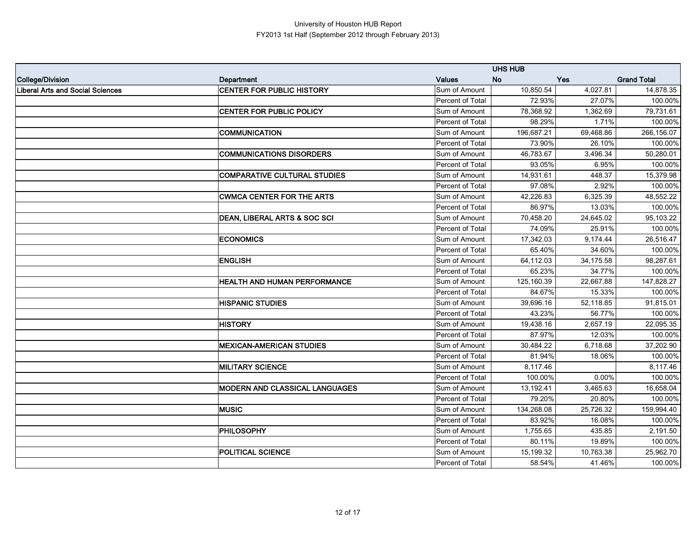|                                         |                                       |                         | <b>UHS HUB</b>          |           |                    |
|-----------------------------------------|---------------------------------------|-------------------------|-------------------------|-----------|--------------------|
| College/Division                        | Department                            | <b>Values</b>           | <b>No</b><br><b>Yes</b> |           | <b>Grand Total</b> |
| <b>Liberal Arts and Social Sciences</b> | <b>CENTER FOR PUBLIC HISTORY</b>      | Sum of Amount           | 10,850.54               | 4,027.81  | 14,878.35          |
|                                         |                                       | Percent of Total        | 72.93%                  | 27.07%    | 100.00%            |
|                                         | CENTER FOR PUBLIC POLICY              | Sum of Amount           | 78,368.92               | 1,362.69  | 79,731.61          |
|                                         |                                       | Percent of Total        | 98.29%                  | 1.71%     | 100.00%            |
|                                         | <b>COMMUNICATION</b>                  | Sum of Amount           | 196,687.21              | 69,468.86 | 266,156.07         |
|                                         |                                       | Percent of Total        | 73.90%                  | 26.10%    | 100.00%            |
|                                         | <b>COMMUNICATIONS DISORDERS</b>       | Sum of Amount           | 46,783.67               | 3,496.34  | 50,280.01          |
|                                         |                                       | Percent of Total        | 93.05%                  | 6.95%     | 100.00%            |
|                                         | <b>COMPARATIVE CULTURAL STUDIES</b>   | Sum of Amount           | 14,931.61               | 448.37    | 15,379.98          |
|                                         |                                       | Percent of Total        | 97.08%                  | 2.92%     | 100.00%            |
|                                         | <b>CWMCA CENTER FOR THE ARTS</b>      | Sum of Amount           | 42,226.83               | 6,325.39  | 48,552.22          |
|                                         |                                       | <b>Percent of Total</b> | 86.97%                  | 13.03%    | 100.00%            |
|                                         | DEAN, LIBERAL ARTS & SOC SCI          | Sum of Amount           | 70,458.20               | 24,645.02 | 95,103.22          |
|                                         |                                       | Percent of Total        | 74.09%                  | 25.91%    | 100.00%            |
|                                         | <b>ECONOMICS</b>                      | Sum of Amount           | 17,342.03               | 9,174.44  | 26,516.47          |
|                                         |                                       | Percent of Total        | 65.40%                  | 34.60%    | 100.00%            |
|                                         | <b>ENGLISH</b>                        | Sum of Amount           | 64,112.03               | 34,175.58 | 98,287.61          |
|                                         |                                       | Percent of Total        | 65.23%                  | 34.77%    | 100.00%            |
|                                         | <b>HEALTH AND HUMAN PERFORMANCE</b>   | Sum of Amount           | 125,160.39              | 22,667.88 | 147,828.27         |
|                                         |                                       | Percent of Total        | 84.67%                  | 15.33%    | 100.00%            |
|                                         | <b>HISPANIC STUDIES</b>               | Sum of Amount           | 39,696.16               | 52,118.85 | 91,815.01          |
|                                         |                                       | Percent of Total        | 43.23%                  | 56.77%    | 100.00%            |
|                                         | <b>HISTORY</b>                        | Sum of Amount           | 19,438.16               | 2,657.19  | 22,095.35          |
|                                         |                                       | Percent of Total        | 87.97%                  | 12.03%    | 100.00%            |
|                                         | <b>MEXICAN-AMERICAN STUDIES</b>       | Sum of Amount           | 30,484.22               | 6,718.68  | 37,202.90          |
|                                         |                                       | Percent of Total        | 81.94%                  | 18.06%    | 100.00%            |
|                                         | <b>MILITARY SCIENCE</b>               | Sum of Amount           | 8,117.46                |           | 8,117.46           |
|                                         |                                       | Percent of Total        | 100.00%                 | $0.00\%$  | 100.00%            |
|                                         | <b>MODERN AND CLASSICAL LANGUAGES</b> | Sum of Amount           | 13,192.41               | 3,465.63  | 16,658.04          |
|                                         |                                       | Percent of Total        | 79.20%                  | 20.80%    | 100.00%            |
|                                         | <b>MUSIC</b>                          | Sum of Amount           | 134,268.08              | 25,726.32 | 159,994.40         |
|                                         |                                       | Percent of Total        | 83.92%                  | 16.08%    | 100.00%            |
|                                         | <b>PHILOSOPHY</b>                     | Sum of Amount           | 1,755.65                | 435.85    | 2,191.50           |
|                                         |                                       | Percent of Total        | 80.11%                  | 19.89%    | 100.00%            |
|                                         | <b>POLITICAL SCIENCE</b>              | Sum of Amount           | 15,199.32               | 10,763.38 | 25,962.70          |
|                                         |                                       | Percent of Total        | 58.54%                  | 41.46%    | 100.00%            |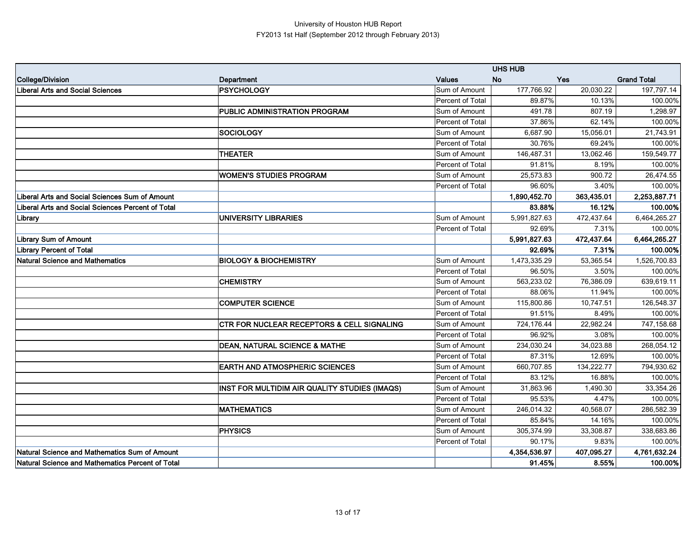|                                                          |                                                       | <b>UHS HUB</b>   |              |            |                    |
|----------------------------------------------------------|-------------------------------------------------------|------------------|--------------|------------|--------------------|
| College/Division                                         | <b>Department</b>                                     | <b>Values</b>    | <b>No</b>    | Yes        | <b>Grand Total</b> |
| Liberal Arts and Social Sciences                         | <b>PSYCHOLOGY</b>                                     | Sum of Amount    | 177,766.92   | 20,030.22  | 197,797.14         |
|                                                          |                                                       | Percent of Total | 89.87%       | 10.13%     | 100.00%            |
|                                                          | <b>PUBLIC ADMINISTRATION PROGRAM</b>                  | Sum of Amount    | 491.78       | 807.19     | 1,298.97           |
|                                                          |                                                       | Percent of Total | 37.86%       | 62.14%     | 100.00%            |
|                                                          | SOCIOLOGY                                             | Sum of Amount    | 6,687.90     | 15,056.01  | 21,743.91          |
|                                                          |                                                       | Percent of Total | 30.76%       | 69.24%     | 100.00%            |
|                                                          | <b>THEATER</b>                                        | Sum of Amount    | 146,487.31   | 13,062.46  | 159,549.77         |
|                                                          |                                                       | Percent of Total | 91.81%       | 8.19%      | 100.00%            |
|                                                          | <b>WOMEN'S STUDIES PROGRAM</b>                        | Sum of Amount    | 25,573.83    | 900.72     | 26,474.55          |
|                                                          |                                                       | Percent of Total | 96.60%       | 3.40%      | 100.00%            |
| Liberal Arts and Social Sciences Sum of Amount           |                                                       |                  | 1,890,452.70 | 363,435.01 | 2,253,887.71       |
| <b>Liberal Arts and Social Sciences Percent of Total</b> |                                                       |                  | 83.88%       | 16.12%     | 100.00%            |
| Library                                                  | <b>UNIVERSITY LIBRARIES</b>                           | Sum of Amount    | 5,991,827.63 | 472,437.64 | 6,464,265.27       |
|                                                          |                                                       | Percent of Total | 92.69%       | 7.31%      | 100.00%            |
| <b>Library Sum of Amount</b>                             |                                                       |                  | 5,991,827.63 | 472,437.64 | 6,464,265.27       |
| <b>Library Percent of Total</b>                          |                                                       |                  | 92.69%       | 7.31%      | 100.00%            |
| Natural Science and Mathematics                          | <b>BIOLOGY &amp; BIOCHEMISTRY</b>                     | Sum of Amount    | 1,473,335.29 | 53,365.54  | 1,526,700.83       |
|                                                          |                                                       | Percent of Total | 96.50%       | 3.50%      | 100.00%            |
|                                                          | <b>CHEMISTRY</b>                                      | Sum of Amount    | 563,233.02   | 76,386.09  | 639,619.11         |
|                                                          |                                                       | Percent of Total | 88.06%       | 11.94%     | 100.00%            |
|                                                          | <b>COMPUTER SCIENCE</b>                               | Sum of Amount    | 115,800.86   | 10,747.51  | 126,548.37         |
|                                                          |                                                       | Percent of Total | 91.51%       | 8.49%      | 100.00%            |
|                                                          | <b>CTR FOR NUCLEAR RECEPTORS &amp; CELL SIGNALING</b> | Sum of Amount    | 724,176.44   | 22,982.24  | 747,158.68         |
|                                                          |                                                       | Percent of Total | 96.92%       | 3.08%      | 100.00%            |
|                                                          | <b>DEAN, NATURAL SCIENCE &amp; MATHE</b>              | Sum of Amount    | 234,030.24   | 34,023.88  | 268,054.12         |
|                                                          |                                                       | Percent of Total | 87.31%       | 12.69%     | 100.00%            |
|                                                          | <b>EARTH AND ATMOSPHERIC SCIENCES</b>                 | Sum of Amount    | 660,707.85   | 134,222.77 | 794,930.62         |
|                                                          |                                                       | Percent of Total | 83.12%       | 16.88%     | 100.00%            |
|                                                          | INST FOR MULTIDIM AIR QUALITY STUDIES (IMAQS)         | Sum of Amount    | 31,863.96    | 1,490.30   | 33,354.26          |
|                                                          |                                                       | Percent of Total | 95.53%       | 4.47%      | 100.00%            |
|                                                          | <b>MATHEMATICS</b>                                    | Sum of Amount    | 246,014.32   | 40,568.07  | 286,582.39         |
|                                                          |                                                       | Percent of Total | 85.84%       | 14.16%     | 100.00%            |
|                                                          | <b>PHYSICS</b>                                        | Sum of Amount    | 305,374.99   | 33,308.87  | 338,683.86         |
|                                                          |                                                       | Percent of Total | 90.17%       | 9.83%      | 100.00%            |
| Natural Science and Mathematics Sum of Amount            |                                                       |                  | 4,354,536.97 | 407,095.27 | 4,761,632.24       |
| Natural Science and Mathematics Percent of Total         |                                                       |                  | 91.45%       | 8.55%      | 100.00%            |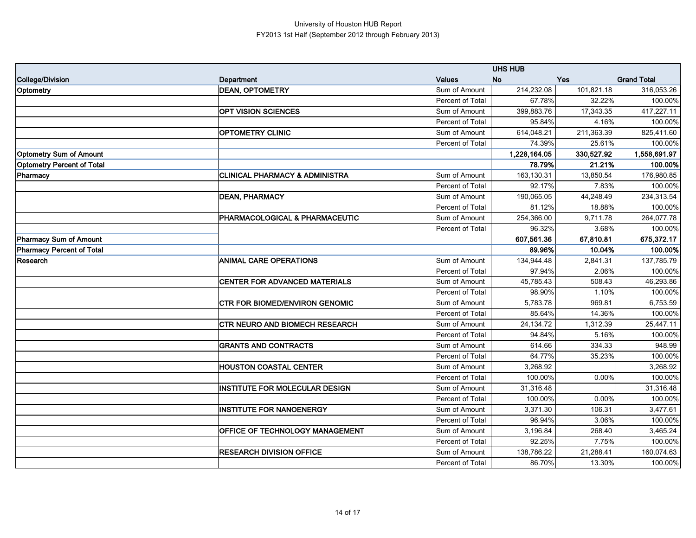|                                   |                                           |                  | <b>UHS HUB</b> |            |                    |
|-----------------------------------|-------------------------------------------|------------------|----------------|------------|--------------------|
| College/Division                  | Department                                | <b>Values</b>    | <b>No</b>      | <b>Yes</b> | <b>Grand Total</b> |
| Optometry                         | <b>DEAN, OPTOMETRY</b>                    | Sum of Amount    | 214,232.08     | 101,821.18 | 316,053.26         |
|                                   |                                           | Percent of Total | 67.78%         | 32.22%     | 100.00%            |
|                                   | <b>OPT VISION SCIENCES</b>                | Sum of Amount    | 399,883.76     | 17,343.35  | 417,227.11         |
|                                   |                                           | Percent of Total | 95.84%         | 4.16%      | 100.00%            |
|                                   | <b>OPTOMETRY CLINIC</b>                   | Sum of Amount    | 614,048.21     | 211,363.39 | 825,411.60         |
|                                   |                                           | Percent of Total | 74.39%         | 25.61%     | 100.00%            |
| <b>Optometry Sum of Amount</b>    |                                           |                  | 1,228,164.05   | 330,527.92 | 1,558,691.97       |
| <b>Optometry Percent of Total</b> |                                           |                  | 78.79%         | 21.21%     | 100.00%            |
| Pharmacy                          | <b>CLINICAL PHARMACY &amp; ADMINISTRA</b> | Sum of Amount    | 163,130.31     | 13,850.54  | 176,980.85         |
|                                   |                                           | Percent of Total | 92.17%         | 7.83%      | 100.00%            |
|                                   | <b>DEAN, PHARMACY</b>                     | Sum of Amount    | 190,065.05     | 44,248.49  | 234,313.54         |
|                                   |                                           | Percent of Total | 81.12%         | 18.88%     | 100.00%            |
|                                   | PHARMACOLOGICAL & PHARMACEUTIC            | Sum of Amount    | 254,366.00     | 9,711.78   | 264,077.78         |
|                                   |                                           | Percent of Total | 96.32%         | 3.68%      | 100.00%            |
| <b>Pharmacy Sum of Amount</b>     |                                           |                  | 607,561.36     | 67,810.81  | 675,372.17         |
| <b>Pharmacy Percent of Total</b>  |                                           |                  | 89.96%         | 10.04%     | 100.00%            |
| <b>Research</b>                   | <b>ANIMAL CARE OPERATIONS</b>             | Sum of Amount    | 134,944.48     | 2,841.31   | 137,785.79         |
|                                   |                                           | Percent of Total | 97.94%         | 2.06%      | 100.00%            |
|                                   | <b>CENTER FOR ADVANCED MATERIALS</b>      | Sum of Amount    | 45,785.43      | 508.43     | 46,293.86          |
|                                   |                                           | Percent of Total | 98.90%         | 1.10%      | 100.00%            |
|                                   | <b>CTR FOR BIOMED/ENVIRON GENOMIC</b>     | Sum of Amount    | 5,783.78       | 969.81     | 6,753.59           |
|                                   |                                           | Percent of Total | 85.64%         | 14.36%     | 100.00%            |
|                                   | <b>CTR NEURO AND BIOMECH RESEARCH</b>     | Sum of Amount    | 24, 134. 72    | 1,312.39   | 25,447.11          |
|                                   |                                           | Percent of Total | 94.84%         | 5.16%      | 100.00%            |
|                                   | <b>GRANTS AND CONTRACTS</b>               | Sum of Amount    | 614.66         | 334.33     | 948.99             |
|                                   |                                           | Percent of Total | 64.77%         | 35.23%     | 100.00%            |
|                                   | <b>HOUSTON COASTAL CENTER</b>             | Sum of Amount    | 3,268.92       |            | 3,268.92           |
|                                   |                                           | Percent of Total | 100.00%        | 0.00%      | 100.00%            |
|                                   | <b>INSTITUTE FOR MOLECULAR DESIGN</b>     | Sum of Amount    | 31,316.48      |            | 31,316.48          |
|                                   |                                           | Percent of Total | 100.00%        | $0.00\%$   | 100.00%            |
|                                   | <b>INSTITUTE FOR NANOENERGY</b>           | Sum of Amount    | 3,371.30       | 106.31     | 3,477.61           |
|                                   |                                           | Percent of Total | 96.94%         | 3.06%      | 100.00%            |
|                                   | OFFICE OF TECHNOLOGY MANAGEMENT           | Sum of Amount    | 3,196.84       | 268.40     | 3,465.24           |
|                                   |                                           | Percent of Total | 92.25%         | 7.75%      | 100.00%            |
|                                   | <b>RESEARCH DIVISION OFFICE</b>           | Sum of Amount    | 138,786.22     | 21,288.41  | 160,074.63         |
|                                   |                                           | Percent of Total | 86.70%         | 13.30%     | 100.00%            |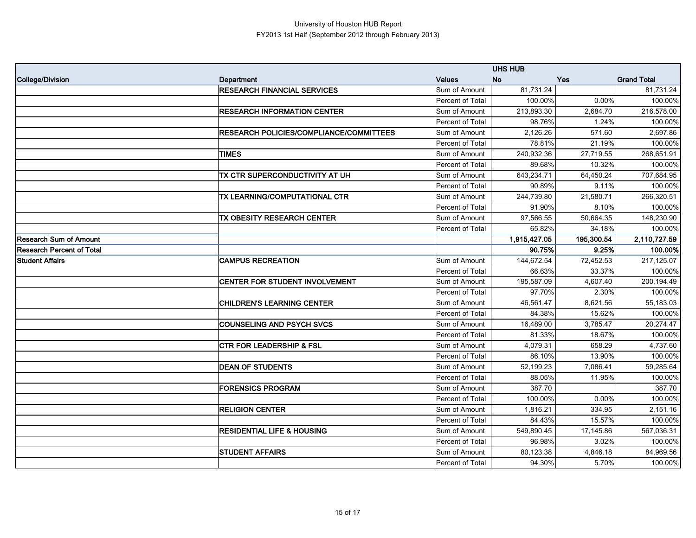|                                  |                                                | <b>UHS HUB</b>   |              |            |                    |
|----------------------------------|------------------------------------------------|------------------|--------------|------------|--------------------|
| College/Division                 | Department                                     | <b>Values</b>    | <b>No</b>    | Yes        | <b>Grand Total</b> |
|                                  | <b>RESEARCH FINANCIAL SERVICES</b>             | Sum of Amount    | 81,731.24    |            | 81,731.24          |
|                                  |                                                | Percent of Total | 100.00%      | 0.00%      | 100.00%            |
|                                  | <b>RESEARCH INFORMATION CENTER</b>             | Sum of Amount    | 213,893.30   | 2,684.70   | 216,578.00         |
|                                  |                                                | Percent of Total | 98.76%       | 1.24%      | 100.00%            |
|                                  | <b>RESEARCH POLICIES/COMPLIANCE/COMMITTEES</b> | Sum of Amount    | 2,126.26     | 571.60     | 2,697.86           |
|                                  |                                                | Percent of Total | 78.81%       | 21.19%     | 100.00%            |
|                                  | <b>TIMES</b>                                   | Sum of Amount    | 240,932.36   | 27,719.55  | 268,651.91         |
|                                  |                                                | Percent of Total | 89.68%       | 10.32%     | 100.00%            |
|                                  | TX CTR SUPERCONDUCTIVITY AT UH                 | Sum of Amount    | 643,234.71   | 64,450.24  | 707,684.95         |
|                                  |                                                | Percent of Total | 90.89%       | 9.11%      | 100.00%            |
|                                  | TX LEARNING/COMPUTATIONAL CTR                  | Sum of Amount    | 244,739.80   | 21,580.71  | 266,320.51         |
|                                  |                                                | Percent of Total | 91.90%       | 8.10%      | 100.00%            |
|                                  | TX OBESITY RESEARCH CENTER                     | Sum of Amount    | 97,566.55    | 50,664.35  | 148,230.90         |
|                                  |                                                | Percent of Total | 65.82%       | 34.18%     | 100.00%            |
| <b>Research Sum of Amount</b>    |                                                |                  | 1,915,427.05 | 195,300.54 | 2,110,727.59       |
| <b>Research Percent of Total</b> |                                                |                  | 90.75%       | 9.25%      | 100.00%            |
| <b>Student Affairs</b>           | <b>CAMPUS RECREATION</b>                       | Sum of Amount    | 144,672.54   | 72,452.53  | 217,125.07         |
|                                  |                                                | Percent of Total | 66.63%       | 33.37%     | 100.00%            |
|                                  | CENTER FOR STUDENT INVOLVEMENT                 | Sum of Amount    | 195,587.09   | 4,607.40   | 200,194.49         |
|                                  |                                                | Percent of Total | 97.70%       | 2.30%      | 100.00%            |
|                                  | <b>CHILDREN'S LEARNING CENTER</b>              | Sum of Amount    | 46,561.47    | 8,621.56   | 55,183.03          |
|                                  |                                                | Percent of Total | 84.38%       | 15.62%     | 100.00%            |
|                                  | <b>COUNSELING AND PSYCH SVCS</b>               | Sum of Amount    | 16,489.00    | 3,785.47   | 20,274.47          |
|                                  |                                                | Percent of Total | 81.33%       | 18.67%     | 100.00%            |
|                                  | <b>CTR FOR LEADERSHIP &amp; FSL</b>            | Sum of Amount    | 4,079.31     | 658.29     | 4,737.60           |
|                                  |                                                | Percent of Total | 86.10%       | 13.90%     | 100.00%            |
|                                  | <b>DEAN OF STUDENTS</b>                        | Sum of Amount    | 52,199.23    | 7,086.41   | 59,285.64          |
|                                  |                                                | Percent of Total | 88.05%       | 11.95%     | 100.00%            |
|                                  | <b>FORENSICS PROGRAM</b>                       | Sum of Amount    | 387.70       |            | 387.70             |
|                                  |                                                | Percent of Total | 100.00%      | $0.00\%$   | 100.00%            |
|                                  | <b>RELIGION CENTER</b>                         | Sum of Amount    | 1,816.21     | 334.95     | 2,151.16           |
|                                  |                                                | Percent of Total | 84.43%       | 15.57%     | 100.00%            |
|                                  | <b>RESIDENTIAL LIFE &amp; HOUSING</b>          | Sum of Amount    | 549,890.45   | 17,145.86  | 567,036.31         |
|                                  |                                                | Percent of Total | 96.98%       | 3.02%      | 100.00%            |
|                                  | <b>STUDENT AFFAIRS</b>                         | Sum of Amount    | 80,123.38    | 4,846.18   | 84,969.56          |
|                                  |                                                | Percent of Total | 94.30%       | 5.70%      | 100.00%            |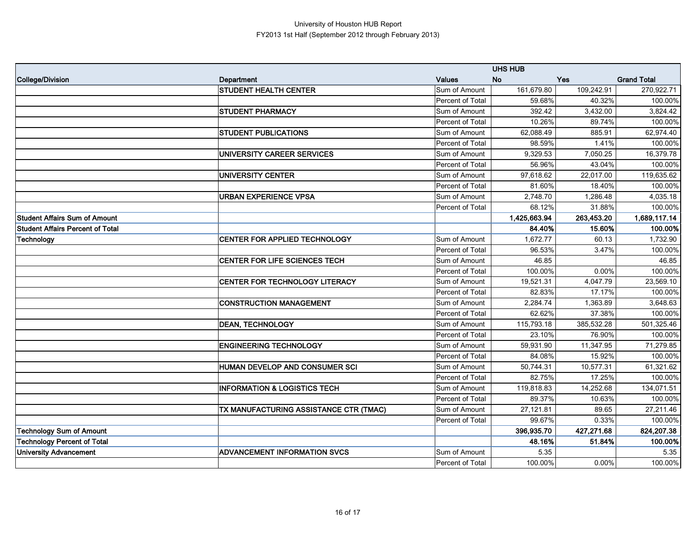|                                         |                                         |                  | <b>UHS HUB</b> |            |                    |
|-----------------------------------------|-----------------------------------------|------------------|----------------|------------|--------------------|
| College/Division                        | <b>Department</b>                       | <b>Values</b>    | <b>No</b>      | <b>Yes</b> | <b>Grand Total</b> |
|                                         | <b>STUDENT HEALTH CENTER</b>            | Sum of Amount    | 161,679.80     | 109,242.91 | 270,922.71         |
|                                         |                                         | Percent of Total | 59.68%         | 40.32%     | 100.00%            |
|                                         | <b>STUDENT PHARMACY</b>                 | Sum of Amount    | 392.42         | 3,432.00   | 3,824.42           |
|                                         |                                         | Percent of Total | 10.26%         | 89.74%     | 100.00%            |
|                                         | <b>STUDENT PUBLICATIONS</b>             | Sum of Amount    | 62,088.49      | 885.91     | 62,974.40          |
|                                         |                                         | Percent of Total | 98.59%         | 1.41%      | 100.00%            |
|                                         | UNIVERSITY CAREER SERVICES              | Sum of Amount    | 9,329.53       | 7,050.25   | 16,379.78          |
|                                         |                                         | Percent of Total | 56.96%         | 43.04%     | 100.00%            |
|                                         | <b>UNIVERSITY CENTER</b>                | Sum of Amount    | 97,618.62      | 22,017.00  | 119,635.62         |
|                                         |                                         | Percent of Total | 81.60%         | 18.40%     | 100.00%            |
|                                         | <b>URBAN EXPERIENCE VPSA</b>            | Sum of Amount    | 2,748.70       | 1,286.48   | 4,035.18           |
|                                         |                                         | Percent of Total | 68.12%         | 31.88%     | 100.00%            |
| <b>Student Affairs Sum of Amount</b>    |                                         |                  | 1,425,663.94   | 263,453.20 | 1,689,117.14       |
| <b>Student Affairs Percent of Total</b> |                                         |                  | 84.40%         | 15.60%     | 100.00%            |
| Technology                              | CENTER FOR APPLIED TECHNOLOGY           | Sum of Amount    | 1,672.77       | 60.13      | 1,732.90           |
|                                         |                                         | Percent of Total | 96.53%         | 3.47%      | 100.00%            |
|                                         | CENTER FOR LIFE SCIENCES TECH           | Sum of Amount    | 46.85          |            | 46.85              |
|                                         |                                         | Percent of Total | 100.00%        | 0.00%      | 100.00%            |
|                                         | CENTER FOR TECHNOLOGY LITERACY          | Sum of Amount    | 19,521.31      | 4,047.79   | 23,569.10          |
|                                         |                                         | Percent of Total | 82.83%         | 17.17%     | 100.00%            |
|                                         | <b>CONSTRUCTION MANAGEMENT</b>          | Sum of Amount    | 2,284.74       | 1,363.89   | 3,648.63           |
|                                         |                                         | Percent of Total | 62.62%         | 37.38%     | 100.00%            |
|                                         | <b>DEAN, TECHNOLOGY</b>                 | Sum of Amount    | 115,793.18     | 385,532.28 | 501,325.46         |
|                                         |                                         | Percent of Total | 23.10%         | 76.90%     | 100.00%            |
|                                         | <b>ENGINEERING TECHNOLOGY</b>           | Sum of Amount    | 59,931.90      | 11,347.95  | 71,279.85          |
|                                         |                                         | Percent of Total | 84.08%         | 15.92%     | 100.00%            |
|                                         | HUMAN DEVELOP AND CONSUMER SCI          | Sum of Amount    | 50,744.31      | 10,577.31  | 61,321.62          |
|                                         |                                         | Percent of Total | 82.75%         | 17.25%     | 100.00%            |
|                                         | <b>INFORMATION &amp; LOGISTICS TECH</b> | Sum of Amount    | 119,818.83     | 14,252.68  | 134,071.51         |
|                                         |                                         | Percent of Total | 89.37%         | 10.63%     | 100.00%            |
|                                         | TX MANUFACTURING ASSISTANCE CTR (TMAC)  | Sum of Amount    | 27,121.81      | 89.65      | 27,211.46          |
|                                         |                                         | Percent of Total | 99.67%         | 0.33%      | 100.00%            |
| <b>Technology Sum of Amount</b>         |                                         |                  | 396,935.70     | 427,271.68 | 824,207.38         |
| <b>Technology Percent of Total</b>      |                                         |                  | 48.16%         | 51.84%     | 100.00%            |
| <b>University Advancement</b>           | <b>ADVANCEMENT INFORMATION SVCS</b>     | Sum of Amount    | 5.35           |            | 5.35               |
|                                         |                                         | Percent of Total | 100.00%        | $0.00\%$   | 100.00%            |